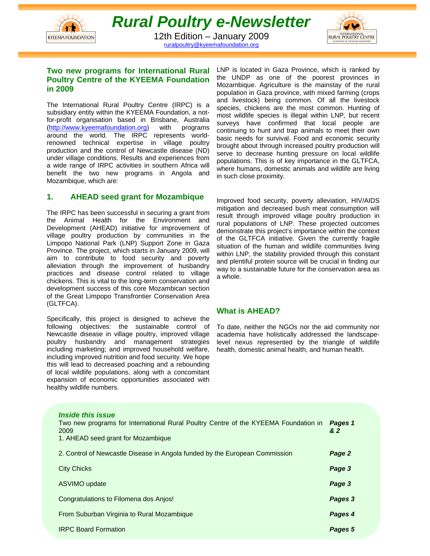



ruralpoultry@kyeemafoundation.org

# **Two new programs for International Rural Poultry Centre of the KYEEMA Foundation in 2009**

The International Rural Poultry Centre (IRPC) is a subsidiary entity within the KYEEMA Foundation, a notfor-profit organisation based in Brisbane, Australia (http://www.kyeemafoundation.org) with programs around the world. The IRPC represents worldrenowned technical expertise in village poultry production and the control of Newcastle disease (ND) under village conditions. Results and experiences from a wide range of IRPC activities in southern Africa will benefit the two new programs in Angola and Mozambique, which are:

# **1. AHEAD seed grant for Mozambique**

The IRPC has been successful in securing a grant from the Animal Health for the Environment and Development (AHEAD) initiative for improvement of village poultry production by communities in the Limpopo National Park (LNP) Support Zone in Gaza Province. The project, which starts in January 2009, will aim to contribute to food security and poverty alleviation through the improvement of husbandry practices and disease control related to village chickens. This is vital to the long-term conservation and development success of this core Mozambican section of the Great Limpopo Transfrontier Conservation Area (GLTFCA).

Specifically, this project is designed to achieve the following objectives: the sustainable control of Newcastle disease in village poultry, improved village poultry husbandry and management strategies including marketing; and improved household welfare, including improved nutrition and food security. We hope this will lead to decreased poaching and a rebounding of local wildlife populations, along with a concomitant expansion of economic opportunities associated with healthy wildlife numbers.

LNP is located in Gaza Province, which is ranked by the UNDP as one of the poorest provinces in Mozambique. Agriculture is the mainstay of the rural population in Gaza province, with mixed farming (crops and livestock) being common. Of all the livestock species, chickens are the most common. Hunting of most wildlife species is illegal within LNP, but recent surveys have confirmed that local people are continuing to hunt and trap animals to meet their own basic needs for survival. Food and economic security brought about through increased poultry production will serve to decrease hunting pressure on local wildlife populations. This is of key importance in the GLTFCA, where humans, domestic animals and wildlife are living in such close proximity.

Improved food security, poverty alleviation, HIV/AIDS mitigation and decreased bush meat consumption will result through improved village poultry production in rural populations of LNP. These projected outcomes demonstrate this project's importance within the context of the GLTFCA initiative. Given the currently fragile situation of the human and wildlife communities living within LNP, the stability provided through this constant and plentiful protein source will be crucial in finding our way to a sustainable future for the conservation area as a whole.

# **What is AHEAD?**

To date, neither the NGOs nor the aid community nor academia have holistically addressed the landscapelevel nexus represented by the triangle of wildlife health, domestic animal health, and human health.

| <i><b>Inside this issue</b></i><br>Two new programs for International Rural Poultry Centre of the KYEEMA Foundation in<br>2009<br>1. AHEAD seed grant for Mozambique | Pages 1<br>& 2 |
|----------------------------------------------------------------------------------------------------------------------------------------------------------------------|----------------|
| 2. Control of Newcastle Disease in Angola funded by the European Commission                                                                                          | Page 2         |
| <b>City Chicks</b>                                                                                                                                                   | Page 3         |
| ASVIMO update                                                                                                                                                        | Page 3         |
| Congratulations to Filomena dos Anjos!                                                                                                                               | Pages 3        |
| From Suburban Virginia to Rural Mozambique                                                                                                                           | Pages 4        |
| <b>IRPC Board Formation</b>                                                                                                                                          | Pages 5        |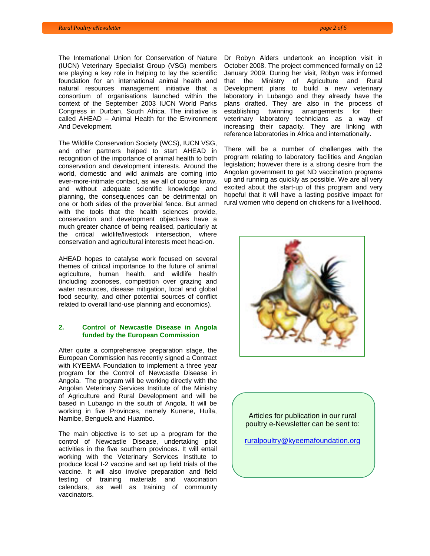The International Union for Conservation of Nature (IUCN) Veterinary Specialist Group (VSG) members are playing a key role in helping to lay the scientific foundation for an international animal health and natural resources management initiative that a consortium of organisations launched within the context of the September 2003 IUCN World Parks Congress in Durban, South Africa. The initiative is called AHEAD – Animal Health for the Environment And Development.

The Wildlife Conservation Society (WCS), IUCN VSG, and other partners helped to start AHEAD in recognition of the importance of animal health to both conservation and development interests. Around the world, domestic and wild animals are coming into ever-more-intimate contact, as we all of course know, and without adequate scientific knowledge and planning, the consequences can be detrimental on one or both sides of the proverbial fence. But armed with the tools that the health sciences provide, conservation and development objectives have a much greater chance of being realised, particularly at the critical wildlife/livestock intersection, where conservation and agricultural interests meet head-on.

AHEAD hopes to catalyse work focused on several themes of critical importance to the future of animal agriculture, human health, and wildlife health (including zoonoses, competition over grazing and water resources, disease mitigation, local and global food security, and other potential sources of conflict related to overall land-use planning and economics).

#### **2. Control of Newcastle Disease in Angola funded by the European Commission**

After quite a comprehensive preparation stage, the European Commission has recently signed a Contract with KYEEMA Foundation to implement a three year program for the Control of Newcastle Disease in Angola. The program will be working directly with the Angolan Veterinary Services Institute of the Ministry of Agriculture and Rural Development and will be based in Lubango in the south of Angola. It will be working in five Provinces, namely Kunene, Huíla, Namibe, Benguela and Huambo.

The main objective is to set up a program for the control of Newcastle Disease, undertaking pilot activities in the five southern provinces. It will entail working with the Veterinary Services Institute to produce local I-2 vaccine and set up field trials of the vaccine. It will also involve preparation and field testing of training materials and vaccination calendars, as well as training of community vaccinators.

Dr Robyn Alders undertook an inception visit in October 2008. The project commenced formally on 12 January 2009. During her visit, Robyn was informed that the Ministry of Agriculture and Rural Development plans to build a new veterinary laboratory in Lubango and they already have the plans drafted. They are also in the process of establishing twinning arrangements for their veterinary laboratory technicians as a way of increasing their capacity. They are linking with reference laboratories in Africa and internationally.

There will be a number of challenges with the program relating to laboratory facilities and Angolan legislation; however there is a strong desire from the Angolan government to get ND vaccination programs up and running as quickly as possible. We are all very excited about the start-up of this program and very hopeful that it will have a lasting positive impact for rural women who depend on chickens for a livelihood.



Articles for publication in our rural poultry e-Newsletter can be sent to:

ruralpoultry@kyeemafoundation.org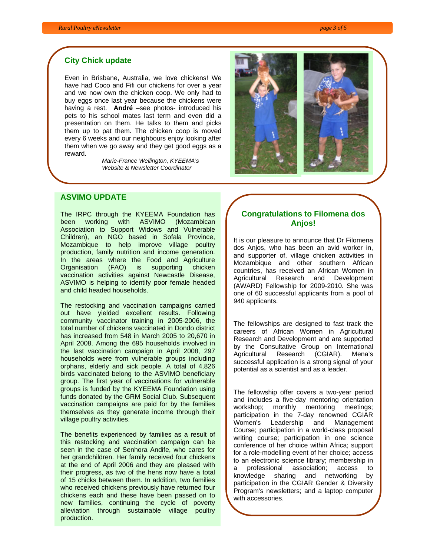## **City Chick update**

Even in Brisbane, Australia, we love chickens! We have had Coco and Fifi our chickens for over a year and we now own the chicken coop. We only had to buy eggs once last year because the chickens were having a rest. **André** –see photos- introduced his pets to his school mates last term and even did a presentation on them. He talks to them and picks them up to pat them. The chicken coop is moved every 6 weeks and our neighbours enjoy looking after them when we go away and they get good eggs as a reward.

> *Marie-France Wellington, KYEEMA's Website & Newsletter Coordinator*



# **ASVIMO UPDATE**

The IRPC through the KYEEMA Foundation has been working with ASVIMO (Mozambican Association to Support Widows and Vulnerable Children), an NGO based in Sofala Province, Mozambique to help improve village poultry production, family nutrition and income generation. In the areas where the Food and Agriculture Organisation (FAO) is supporting chicken vaccination activities against Newcastle Disease, ASVIMO is helping to identify poor female headed and child headed households.

The restocking and vaccination campaigns carried out have yielded excellent results. Following community vaccinator training in 2005-2006, the total number of chickens vaccinated in Dondo district has increased from 548 in March 2005 to 20,670 in April 2008. Among the 695 households involved in the last vaccination campaign in April 2008, 297 households were from vulnerable groups including orphans, elderly and sick people. A total of 4,826 birds vaccinated belong to the ASVIMO beneficiary group. The first year of vaccinations for vulnerable groups is funded by the KYEEMA Foundation using funds donated by the GRM Social Club. Subsequent vaccination campaigns are paid for by the families themselves as they generate income through their village poultry activities.

The benefits experienced by families as a result of this restocking and vaccination campaign can be seen in the case of Senhora Andife, who cares for her grandchildren. Her family received four chickens at the end of April 2006 and they are pleased with their progress, as two of the hens now have a total of 15 chicks between them. In addition, two families who received chickens previously have returned four chickens each and these have been passed on to new families, continuing the cycle of poverty alleviation through sustainable village poultry production.

# **Congratulations to Filomena dos Anjos!**

It is our pleasure to announce that Dr Filomena dos Anjos, who has been an avid worker in, and supporter of, village chicken activities in Mozambique and other southern African countries, has received an African Women in Agricultural Research and Development (AWARD) Fellowship for 2009-2010. She was one of 60 successful applicants from a pool of 940 applicants.

The fellowships are designed to fast track the careers of African Women in Agricultural Research and Development and are supported by the Consultative Group on International Agricultural Research (CGIAR). Mena's successful application is a strong signal of your potential as a scientist and as a leader.

The fellowship offer covers a two-year period and includes a five-day mentoring orientation workshop; monthly mentoring meetings; participation in the 7-day renowned CGIAR Women's Leadership and Management Course; participation in a world-class proposal writing course; participation in one science conference of her choice within Africa; support for a role-modelling event of her choice; access to an electronic science library; membership in a professional association; access to knowledge sharing and networking by participation in the CGIAR Gender & Diversity Program's newsletters; and a laptop computer with accessories.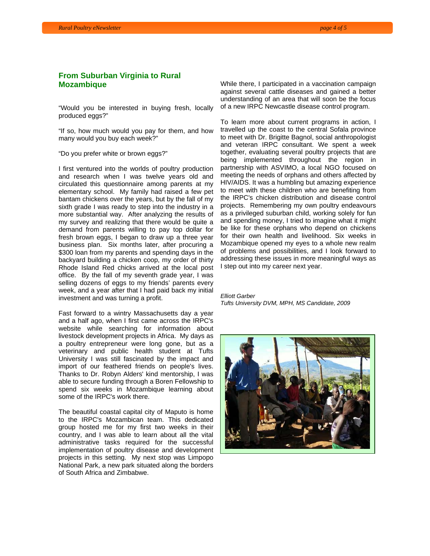# **From Suburban Virginia to Rural Mozambique**

"Would you be interested in buying fresh, locally produced eggs?"

"If so, how much would you pay for them, and how many would you buy each week?"

"Do you prefer white or brown eggs?"

I first ventured into the worlds of poultry production and research when I was twelve years old and circulated this questionnaire among parents at my elementary school. My family had raised a few pet bantam chickens over the years, but by the fall of my sixth grade I was ready to step into the industry in a more substantial way. After analyzing the results of my survey and realizing that there would be quite a demand from parents willing to pay top dollar for fresh brown eggs, I began to draw up a three year business plan. Six months later, after procuring a \$300 loan from my parents and spending days in the backyard building a chicken coop, my order of thirty Rhode Island Red chicks arrived at the local post office. By the fall of my seventh grade year, I was selling dozens of eggs to my friends' parents every week, and a year after that I had paid back my initial investment and was turning a profit.

Fast forward to a wintry Massachusetts day a year and a half ago, when I first came across the IRPC's website while searching for information about livestock development projects in Africa. My days as a poultry entrepreneur were long gone, but as a veterinary and public health student at Tufts University I was still fascinated by the impact and import of our feathered friends on people's lives. Thanks to Dr. Robyn Alders' kind mentorship, I was able to secure funding through a Boren Fellowship to spend six weeks in Mozambique learning about some of the IRPC's work there.

The beautiful coastal capital city of Maputo is home to the IRPC's Mozambican team. This dedicated group hosted me for my first two weeks in their country, and I was able to learn about all the vital administrative tasks required for the successful implementation of poultry disease and development projects in this setting. My next stop was Limpopo National Park, a new park situated along the borders of South Africa and Zimbabwe.

While there, I participated in a vaccination campaign against several cattle diseases and gained a better understanding of an area that will soon be the focus of a new IRPC Newcastle disease control program.

To learn more about current programs in action, I travelled up the coast to the central Sofala province to meet with Dr. Brigitte Bagnol, social anthropologist and veteran IRPC consultant. We spent a week together, evaluating several poultry projects that are being implemented throughout the region in partnership with ASVIMO, a local NGO focused on meeting the needs of orphans and others affected by HIV/AIDS. It was a humbling but amazing experience to meet with these children who are benefiting from the IRPC's chicken distribution and disease control projects. Remembering my own poultry endeavours as a privileged suburban child, working solely for fun and spending money, I tried to imagine what it might be like for these orphans who depend on chickens for their own health and livelihood. Six weeks in Mozambique opened my eyes to a whole new realm of problems and possibilities, and I look forward to addressing these issues in more meaningful ways as I step out into my career next year.

*Elliott Garber Tufts University DVM, MPH, MS Candidate, 2009* 

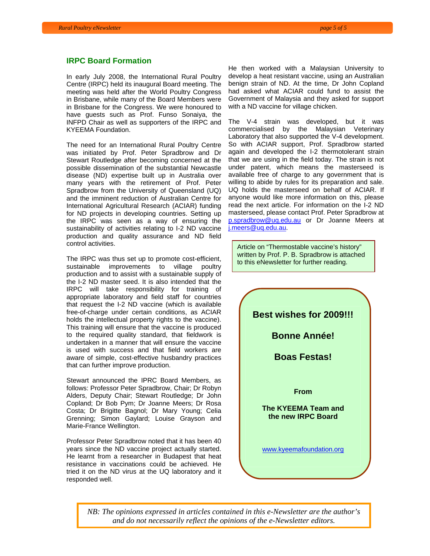#### **IRPC Board Formation**

In early July 2008, the International Rural Poultry Centre (IRPC) held its inaugural Board meeting. The meeting was held after the World Poultry Congress in Brisbane, while many of the Board Members were in Brisbane for the Congress. We were honoured to have guests such as Prof. Funso Sonaiya, the INFPD Chair as well as supporters of the IRPC and KYEEMA Foundation.

The need for an International Rural Poultry Centre was initiated by Prof. Peter Spradbrow and Dr Stewart Routledge after becoming concerned at the possible dissemination of the substantial Newcastle disease (ND) expertise built up in Australia over many years with the retirement of Prof. Peter Spradbrow from the University of Queensland (UQ) and the imminent reduction of Australian Centre for International Agricultural Research (ACIAR) funding for ND projects in developing countries. Setting up the IRPC was seen as a way of ensuring the sustainability of activities relating to I-2 ND vaccine production and quality assurance and ND field control activities.

The IRPC was thus set up to promote cost-efficient, sustainable improvements to village poultry production and to assist with a sustainable supply of the I-2 ND master seed. It is also intended that the IRPC will take responsibility for training of appropriate laboratory and field staff for countries that request the I-2 ND vaccine (which is available free-of-charge under certain conditions, as ACIAR holds the intellectual property rights to the vaccine). This training will ensure that the vaccine is produced to the required quality standard, that fieldwork is undertaken in a manner that will ensure the vaccine is used with success and that field workers are aware of simple, cost-effective husbandry practices that can further improve production.

Stewart announced the IPRC Board Members, as follows: Professor Peter Spradbrow, Chair; Dr Robyn Alders, Deputy Chair; Stewart Routledge; Dr John Copland; Dr Bob Pym; Dr Joanne Meers; Dr Rosa Costa; Dr Brigitte Bagnol; Dr Mary Young; Celia Grenning; Simon Gaylard; Louise Grayson and Marie-France Wellington.

Professor Peter Spradbrow noted that it has been 40 years since the ND vaccine project actually started. He learnt from a researcher in Budapest that heat resistance in vaccinations could be achieved. He tried it on the ND virus at the UQ laboratory and it responded well.

He then worked with a Malaysian University to develop a heat resistant vaccine, using an Australian benign strain of ND. At the time, Dr John Copland had asked what ACIAR could fund to assist the Government of Malaysia and they asked for support with a ND vaccine for village chicken.

The V-4 strain was developed, but it was commercialised by the Malaysian Veterinary Laboratory that also supported the V-4 development. So with ACIAR support, Prof. Spradbrow started again and developed the I-2 thermotolerant strain that we are using in the field today. The strain is not under patent, which means the masterseed is available free of charge to any government that is willing to abide by rules for its preparation and sale. UQ holds the masterseed on behalf of ACIAR. If anyone would like more information on this, please read the next article. For information on the I-2 ND masterseed, please contact Prof. Peter Spradbrow at p.spradbrow@uq.edu.au or Dr Joanne Meers at j.meers@uq.edu.au.

Article on "Thermostable vaccine's history" written by Prof. P. B. Spradbrow is attached to this eNewsletter for further reading.



*NB: The opinions expressed in articles contained in this e-Newsletter are the author's and do not necessarily reflect the opinions of the e-Newsletter editors.*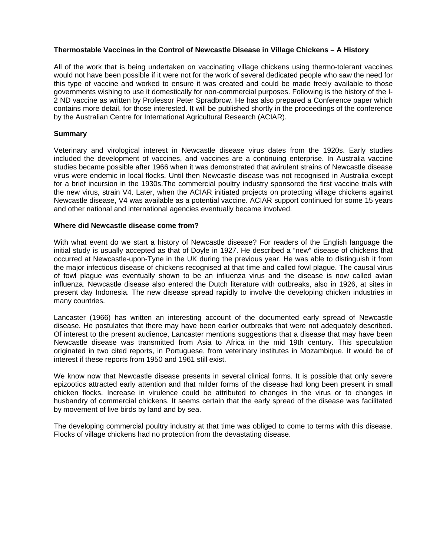# **Thermostable Vaccines in the Control of Newcastle Disease in Village Chickens – A History**

All of the work that is being undertaken on vaccinating village chickens using thermo-tolerant vaccines would not have been possible if it were not for the work of several dedicated people who saw the need for this type of vaccine and worked to ensure it was created and could be made freely available to those governments wishing to use it domestically for non-commercial purposes. Following is the history of the I-2 ND vaccine as written by Professor Peter Spradbrow. He has also prepared a Conference paper which contains more detail, for those interested. It will be published shortly in the proceedings of the conference by the Australian Centre for International Agricultural Research (ACIAR).

# **Summary**

Veterinary and virological interest in Newcastle disease virus dates from the 1920s. Early studies included the development of vaccines, and vaccines are a continuing enterprise. In Australia vaccine studies became possible after 1966 when it was demonstrated that avirulent strains of Newcastle disease virus were endemic in local flocks. Until then Newcastle disease was not recognised in Australia except for a brief incursion in the 1930s.The commercial poultry industry sponsored the first vaccine trials with the new virus, strain V4. Later, when the ACIAR initiated projects on protecting village chickens against Newcastle disease, V4 was available as a potential vaccine. ACIAR support continued for some 15 years and other national and international agencies eventually became involved.

### **Where did Newcastle disease come from?**

With what event do we start a history of Newcastle disease? For readers of the English language the initial study is usually accepted as that of Doyle in 1927. He described a "new" disease of chickens that occurred at Newcastle-upon-Tyne in the UK during the previous year. He was able to distinguish it from the major infectious disease of chickens recognised at that time and called fowl plague. The causal virus of fowl plague was eventually shown to be an influenza virus and the disease is now called avian influenza. Newcastle disease also entered the Dutch literature with outbreaks, also in 1926, at sites in present day Indonesia. The new disease spread rapidly to involve the developing chicken industries in many countries.

Lancaster (1966) has written an interesting account of the documented early spread of Newcastle disease. He postulates that there may have been earlier outbreaks that were not adequately described. Of interest to the present audience, Lancaster mentions suggestions that a disease that may have been Newcastle disease was transmitted from Asia to Africa in the mid 19th century. This speculation originated in two cited reports, in Portuguese, from veterinary institutes in Mozambique. It would be of interest if these reports from 1950 and 1961 still exist.

We know now that Newcastle disease presents in several clinical forms. It is possible that only severe epizootics attracted early attention and that milder forms of the disease had long been present in small chicken flocks. Increase in virulence could be attributed to changes in the virus or to changes in husbandry of commercial chickens. It seems certain that the early spread of the disease was facilitated by movement of live birds by land and by sea.

The developing commercial poultry industry at that time was obliged to come to terms with this disease. Flocks of village chickens had no protection from the devastating disease.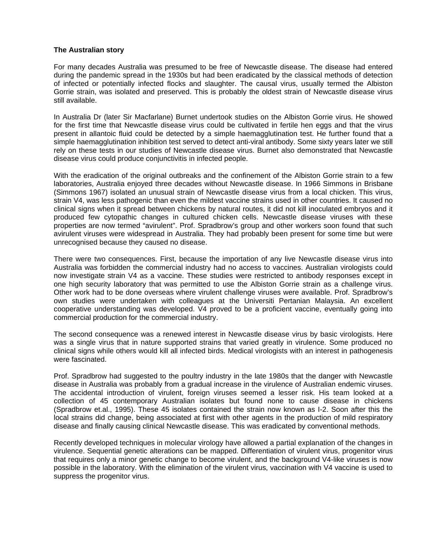## **The Australian story**

For many decades Australia was presumed to be free of Newcastle disease. The disease had entered during the pandemic spread in the 1930s but had been eradicated by the classical methods of detection of infected or potentially infected flocks and slaughter. The causal virus, usually termed the Albiston Gorrie strain, was isolated and preserved. This is probably the oldest strain of Newcastle disease virus still available.

In Australia Dr (later Sir Macfarlane) Burnet undertook studies on the Albiston Gorrie virus. He showed for the first time that Newcastle disease virus could be cultivated in fertile hen eggs and that the virus present in allantoic fluid could be detected by a simple haemagglutination test. He further found that a simple haemagglutination inhibition test served to detect anti-viral antibody. Some sixty years later we still rely on these tests in our studies of Newcastle disease virus. Burnet also demonstrated that Newcastle disease virus could produce conjunctivitis in infected people.

With the eradication of the original outbreaks and the confinement of the Albiston Gorrie strain to a few laboratories, Australia enjoyed three decades without Newcastle disease. In 1966 Simmons in Brisbane (Simmons 1967) isolated an unusual strain of Newcastle disease virus from a local chicken. This virus, strain V4, was less pathogenic than even the mildest vaccine strains used in other countries. It caused no clinical signs when it spread between chickens by natural routes, it did not kill inoculated embryos and it produced few cytopathic changes in cultured chicken cells. Newcastle disease viruses with these properties are now termed "avirulent". Prof. Spradbrow's group and other workers soon found that such avirulent viruses were widespread in Australia. They had probably been present for some time but were unrecognised because they caused no disease.

There were two consequences. First, because the importation of any live Newcastle disease virus into Australia was forbidden the commercial industry had no access to vaccines. Australian virologists could now investigate strain V4 as a vaccine. These studies were restricted to antibody responses except in one high security laboratory that was permitted to use the Albiston Gorrie strain as a challenge virus. Other work had to be done overseas where virulent challenge viruses were available. Prof. Spradbrow's own studies were undertaken with colleagues at the Universiti Pertanian Malaysia. An excellent cooperative understanding was developed. V4 proved to be a proficient vaccine, eventually going into commercial production for the commercial industry.

The second consequence was a renewed interest in Newcastle disease virus by basic virologists. Here was a single virus that in nature supported strains that varied greatly in virulence. Some produced no clinical signs while others would kill all infected birds. Medical virologists with an interest in pathogenesis were fascinated.

Prof. Spradbrow had suggested to the poultry industry in the late 1980s that the danger with Newcastle disease in Australia was probably from a gradual increase in the virulence of Australian endemic viruses. The accidental introduction of virulent, foreign viruses seemed a lesser risk. His team looked at a collection of 45 contemporary Australian isolates but found none to cause disease in chickens (Spradbrow et.al., 1995). These 45 isolates contained the strain now known as I-2. Soon after this the local strains did change, being associated at first with other agents in the production of mild respiratory disease and finally causing clinical Newcastle disease. This was eradicated by conventional methods.

Recently developed techniques in molecular virology have allowed a partial explanation of the changes in virulence. Sequential genetic alterations can be mapped. Differentiation of virulent virus, progenitor virus that requires only a minor genetic change to become virulent, and the background V4-like viruses is now possible in the laboratory. With the elimination of the virulent virus, vaccination with V4 vaccine is used to suppress the progenitor virus.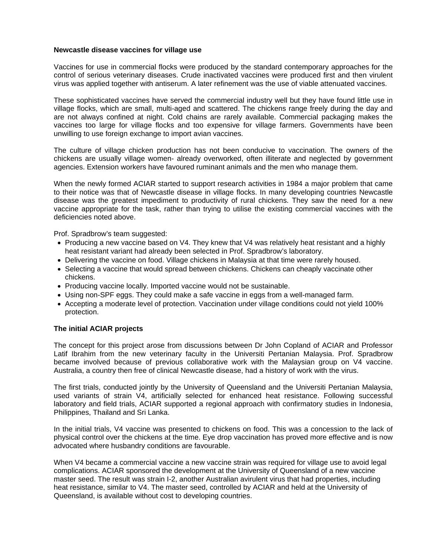### **Newcastle disease vaccines for village use**

Vaccines for use in commercial flocks were produced by the standard contemporary approaches for the control of serious veterinary diseases. Crude inactivated vaccines were produced first and then virulent virus was applied together with antiserum. A later refinement was the use of viable attenuated vaccines.

These sophisticated vaccines have served the commercial industry well but they have found little use in village flocks, which are small, multi-aged and scattered. The chickens range freely during the day and are not always confined at night. Cold chains are rarely available. Commercial packaging makes the vaccines too large for village flocks and too expensive for village farmers. Governments have been unwilling to use foreign exchange to import avian vaccines.

The culture of village chicken production has not been conducive to vaccination. The owners of the chickens are usually village women- already overworked, often illiterate and neglected by government agencies. Extension workers have favoured ruminant animals and the men who manage them.

When the newly formed ACIAR started to support research activities in 1984 a major problem that came to their notice was that of Newcastle disease in village flocks. In many developing countries Newcastle disease was the greatest impediment to productivity of rural chickens. They saw the need for a new vaccine appropriate for the task, rather than trying to utilise the existing commercial vaccines with the deficiencies noted above.

Prof. Spradbrow's team suggested:

- Producing a new vaccine based on V4. They knew that V4 was relatively heat resistant and a highly heat resistant variant had already been selected in Prof. Spradbrow's laboratory.
- Delivering the vaccine on food. Village chickens in Malaysia at that time were rarely housed.
- Selecting a vaccine that would spread between chickens. Chickens can cheaply vaccinate other chickens.
- Producing vaccine locally. Imported vaccine would not be sustainable.
- Using non-SPF eggs. They could make a safe vaccine in eggs from a well-managed farm.
- Accepting a moderate level of protection. Vaccination under village conditions could not yield 100% protection.

### **The initial ACIAR projects**

The concept for this project arose from discussions between Dr John Copland of ACIAR and Professor Latif Ibrahim from the new veterinary faculty in the Universiti Pertanian Malaysia. Prof. Spradbrow became involved because of previous collaborative work with the Malaysian group on V4 vaccine. Australia, a country then free of clinical Newcastle disease, had a history of work with the virus.

The first trials, conducted jointly by the University of Queensland and the Universiti Pertanian Malaysia, used variants of strain V4, artificially selected for enhanced heat resistance. Following successful laboratory and field trials, ACIAR supported a regional approach with confirmatory studies in Indonesia, Philippines, Thailand and Sri Lanka.

In the initial trials, V4 vaccine was presented to chickens on food. This was a concession to the lack of physical control over the chickens at the time. Eye drop vaccination has proved more effective and is now advocated where husbandry conditions are favourable.

When V4 became a commercial vaccine a new vaccine strain was required for village use to avoid legal complications. ACIAR sponsored the development at the University of Queensland of a new vaccine master seed. The result was strain I-2, another Australian avirulent virus that had properties, including heat resistance, similar to V4. The master seed, controlled by ACIAR and held at the University of Queensland, is available without cost to developing countries.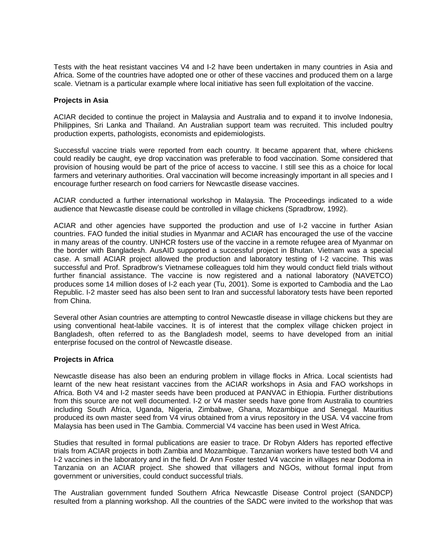Tests with the heat resistant vaccines V4 and I-2 have been undertaken in many countries in Asia and Africa. Some of the countries have adopted one or other of these vaccines and produced them on a large scale. Vietnam is a particular example where local initiative has seen full exploitation of the vaccine.

## **Projects in Asia**

ACIAR decided to continue the project in Malaysia and Australia and to expand it to involve Indonesia, Philippines, Sri Lanka and Thailand. An Australian support team was recruited. This included poultry production experts, pathologists, economists and epidemiologists.

Successful vaccine trials were reported from each country. It became apparent that, where chickens could readily be caught, eye drop vaccination was preferable to food vaccination. Some considered that provision of housing would be part of the price of access to vaccine. I still see this as a choice for local farmers and veterinary authorities. Oral vaccination will become increasingly important in all species and I encourage further research on food carriers for Newcastle disease vaccines.

ACIAR conducted a further international workshop in Malaysia. The Proceedings indicated to a wide audience that Newcastle disease could be controlled in village chickens (Spradbrow, 1992).

ACIAR and other agencies have supported the production and use of I-2 vaccine in further Asian countries. FAO funded the initial studies in Myanmar and ACIAR has encouraged the use of the vaccine in many areas of the country. UNHCR fosters use of the vaccine in a remote refugee area of Myanmar on the border with Bangladesh. AusAID supported a successful project in Bhutan. Vietnam was a special case. A small ACIAR project allowed the production and laboratory testing of I-2 vaccine. This was successful and Prof. Spradbrow's Vietnamese colleagues told him they would conduct field trials without further financial assistance. The vaccine is now registered and a national laboratory (NAVETCO) produces some 14 million doses of I-2 each year (Tu, 2001). Some is exported to Cambodia and the Lao Republic. I-2 master seed has also been sent to Iran and successful laboratory tests have been reported from China.

Several other Asian countries are attempting to control Newcastle disease in village chickens but they are using conventional heat-labile vaccines. It is of interest that the complex village chicken project in Bangladesh, often referred to as the Bangladesh model, seems to have developed from an initial enterprise focused on the control of Newcastle disease.

### **Projects in Africa**

Newcastle disease has also been an enduring problem in village flocks in Africa. Local scientists had learnt of the new heat resistant vaccines from the ACIAR workshops in Asia and FAO workshops in Africa. Both V4 and I-2 master seeds have been produced at PANVAC in Ethiopia. Further distributions from this source are not well documented. I-2 or V4 master seeds have gone from Australia to countries including South Africa, Uganda, Nigeria, Zimbabwe, Ghana, Mozambique and Senegal. Mauritius produced its own master seed from V4 virus obtained from a virus repository in the USA. V4 vaccine from Malaysia has been used in The Gambia. Commercial V4 vaccine has been used in West Africa.

Studies that resulted in formal publications are easier to trace. Dr Robyn Alders has reported effective trials from ACIAR projects in both Zambia and Mozambique. Tanzanian workers have tested both V4 and I-2 vaccines in the laboratory and in the field. Dr Ann Foster tested V4 vaccine in villages near Dodoma in Tanzania on an ACIAR project. She showed that villagers and NGOs, without formal input from government or universities, could conduct successful trials.

The Australian government funded Southern Africa Newcastle Disease Control project (SANDCP) resulted from a planning workshop. All the countries of the SADC were invited to the workshop that was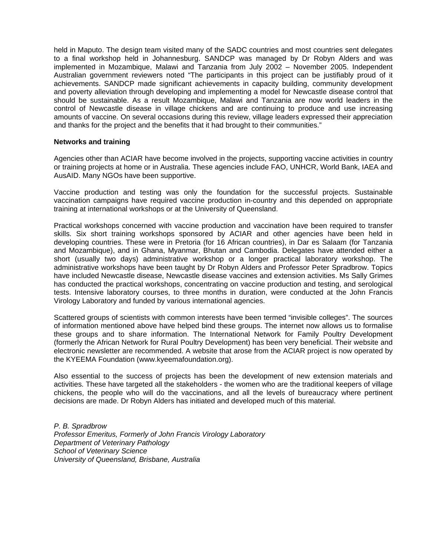held in Maputo. The design team visited many of the SADC countries and most countries sent delegates to a final workshop held in Johannesburg. SANDCP was managed by Dr Robyn Alders and was implemented in Mozambique, Malawi and Tanzania from July 2002 – November 2005. Independent Australian government reviewers noted "The participants in this project can be justifiably proud of it achievements. SANDCP made significant achievements in capacity building, community development and poverty alleviation through developing and implementing a model for Newcastle disease control that should be sustainable. As a result Mozambique, Malawi and Tanzania are now world leaders in the control of Newcastle disease in village chickens and are continuing to produce and use increasing amounts of vaccine. On several occasions during this review, village leaders expressed their appreciation and thanks for the project and the benefits that it had brought to their communities."

### **Networks and training**

Agencies other than ACIAR have become involved in the projects, supporting vaccine activities in country or training projects at home or in Australia. These agencies include FAO, UNHCR, World Bank, IAEA and AusAID. Many NGOs have been supportive.

Vaccine production and testing was only the foundation for the successful projects. Sustainable vaccination campaigns have required vaccine production in-country and this depended on appropriate training at international workshops or at the University of Queensland.

Practical workshops concerned with vaccine production and vaccination have been required to transfer skills. Six short training workshops sponsored by ACIAR and other agencies have been held in developing countries. These were in Pretoria (for 16 African countries), in Dar es Salaam (for Tanzania and Mozambique), and in Ghana, Myanmar, Bhutan and Cambodia. Delegates have attended either a short (usually two days) administrative workshop or a longer practical laboratory workshop. The administrative workshops have been taught by Dr Robyn Alders and Professor Peter Spradbrow. Topics have included Newcastle disease, Newcastle disease vaccines and extension activities. Ms Sally Grimes has conducted the practical workshops, concentrating on vaccine production and testing, and serological tests. Intensive laboratory courses, to three months in duration, were conducted at the John Francis Virology Laboratory and funded by various international agencies.

Scattered groups of scientists with common interests have been termed "invisible colleges". The sources of information mentioned above have helped bind these groups. The internet now allows us to formalise these groups and to share information. The International Network for Family Poultry Development (formerly the African Network for Rural Poultry Development) has been very beneficial. Their website and electronic newsletter are recommended. A website that arose from the ACIAR project is now operated by the KYEEMA Foundation (www.kyeemafoundation.org).

Also essential to the success of projects has been the development of new extension materials and activities. These have targeted all the stakeholders - the women who are the traditional keepers of village chickens, the people who will do the vaccinations, and all the levels of bureaucracy where pertinent decisions are made. Dr Robyn Alders has initiated and developed much of this material.

*P. B. Spradbrow Professor Emeritus, Formerly of John Francis Virology Laboratory Department of Veterinary Pathology School of Veterinary Science University of Queensland, Brisbane, Australia*